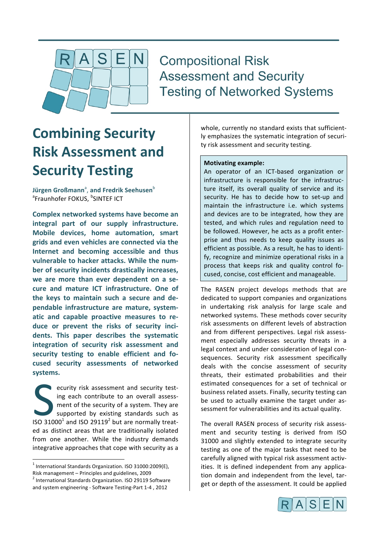

**Compositional Risk Assessment and Security Testing of Networked Systems** 

# **Combining Security Risk Assessment and Security Testing**

**Jürgen Großmann<sup>a</sup>, and Fredrik Seehusen** $^{\text{b}}$ <sup>a</sup>Fraunhofer FOKUS, <sup>b</sup>SINTEF ICT

**Complex networked systems have become an** integral part of our supply infrastructure. **Mobile devices, home automation, smart grids and even vehicles are connected via the Internet and becoming accessible and thus** vulnerable to hacker attacks. While the number of security incidents drastically increases, we are more than ever dependent on a secure and mature ICT infrastructure. One of the keys to maintain such a secure and dependable infrastructure are mature, systematic and capable proactive measures to reduce or prevent the risks of security incidents. This paper describes the systematic **integration of security risk assessment and**  security testing to enable efficient and fo**cused security assessments of networked systems.**

ecurity risk assessment and security testing each contribute to an overall assessment of the security of a system. They are supported by existing standards such as Equal to an overall assessment and security test-<br>ing each contribute to an overall assessment of the security of a system. They are<br>supported by existing standards such as<br>ISO 31000<sup>1</sup> and ISO 29119<sup>2</sup> but are normally tr ed as distinct areas that are traditionally isolated from one another. While the industry demands integrative approaches that cope with security as a

Risk management – Principles and guidelines, 2009<br><sup>2</sup> International Standards Organization. ISO 29119 Software

whole, currently no standard exists that sufficient-Iv emphasizes the systematic integration of security risk assessment and security testing.

### **Motivating example:**

An operator of an ICT-based organization or infrastructure is responsible for the infrastructure itself, its overall quality of service and its security. He has to decide how to set-up and maintain the infrastructure i.e. which systems and devices are to be integrated, how they are tested, and which rules and regulation need to be followed. However, he acts as a profit enterprise and thus needs to keep quality issues as efficient as possible. As a result, he has to identify, recognize and minimize operational risks in a process that keeps risk and quality control focused, concise, cost efficient and manageable.

The RASEN project develops methods that are dedicated to support companies and organizations in undertaking risk analysis for large scale and networked systems. These methods cover security risk assessments on different levels of abstraction and from different perspectives. Legal risk assessment especially addresses security threats in a legal context and under consideration of legal consequences. Security risk assessment specifically deals with the concise assessment of security threats, their estimated probabilities and their estimated consequences for a set of technical or business related assets. Finally, security testing can be used to actually examine the target under assessment for vulnerabilities and its actual quality.

The overall RASEN process of security risk assessment and security testing is derived from ISO 31000 and slightly extended to integrate security testing as one of the major tasks that need to be carefully aligned with typical risk assessment activities. It is defined independent from any application domain and independent from the level, target or depth of the assessment. It could be applied



 $1$  International Standards Organization. ISO 31000:2009(E),

and system engineering - Software Testing-Part 1-4, 2012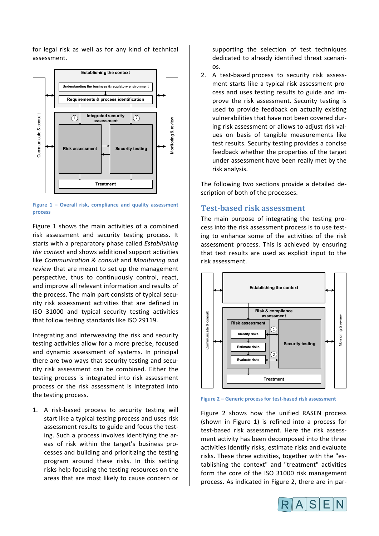for legal risk as well as for any kind of technical assessment.



**Figure 1 - Overall risk, compliance and quality assessment process**

Figure 1 shows the main activities of a combined risk assessment and security testing process. It starts with a preparatory phase called *Establishing the context* and shows additional support activities like *Communication & consult* and *Monitoring and review* that are meant to set up the management perspective, thus to continuously control, react, and improve all relevant information and results of the process. The main part consists of typical security risk assessment activities that are defined in ISO 31000 and typical security testing activities that follow testing standards like ISO 29119.

Integrating and interweaving the risk and security testing activities allow for a more precise, focused and dynamic assessment of systems. In principal there are two ways that security testing and security risk assessment can be combined. Either the testing process is integrated into risk assessment process or the risk assessment is integrated into the testing process.

1. A risk-based process to security testing will start like a typical testing process and uses risk assessment results to guide and focus the testing. Such a process involves identifying the areas of risk within the target's business processes and building and prioritizing the testing program around these risks. In this setting risks help focusing the testing resources on the areas that are most likely to cause concern or supporting the selection of test techniques dedicated to already identified threat scenarios. 

2. A test-based process to security risk assessment starts like a typical risk assessment process and uses testing results to guide and improve the risk assessment. Security testing is used to provide feedback on actually existing vulnerabilities that have not been covered during risk assessment or allows to adjust risk values on basis of tangible measurements like test results. Security testing provides a concise feedback whether the properties of the target under assessment have been really met by the risk analysis.

The following two sections provide a detailed description of both of the processes.

# **Test-based risk assessment**

The main purpose of integrating the testing process into the risk assessment process is to use testing to enhance some of the activities of the risk assessment process. This is achieved by ensuring that test results are used as explicit input to the risk assessment. 



**Figure 2 – Generic process for test-based risk assessment** 

Figure 2 shows how the unified RASEN process (shown in Figure 1) is refined into a process for test-based risk assessment. Here the risk assessment activity has been decomposed into the three activities identify risks, estimate risks and evaluate risks. These three activities, together with the "establishing the context" and "treatment" activities form the core of the ISO 31000 risk management process. As indicated in Figure 2, there are in par-

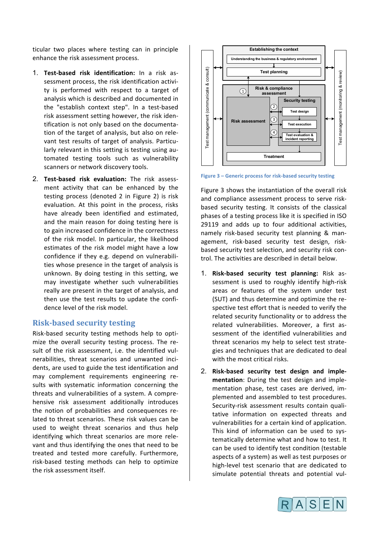ticular two places where testing can in principle enhance the risk assessment process.

- 1. **Test-based risk identification:** In a risk assessment process, the risk identification activity is performed with respect to a target of analysis which is described and documented in the "establish context step". In a test-based risk assessment setting however, the risk identification is not only based on the documentation of the target of analysis, but also on relevant test results of target of analysis. Particularly relevant in this setting is testing using automated testing tools such as vulnerability scanners or network discovery tools.
- 2. **Test-based risk evaluation:** The risk assessment activity that can be enhanced by the testing process (denoted 2 in Figure 2) is risk evaluation. At this point in the process, risks have already been identified and estimated, and the main reason for doing testing here is to gain increased confidence in the correctness of the risk model. In particular, the likelihood estimates of the risk model might have a low confidence if they e.g. depend on vulnerabilities whose presence in the target of analysis is unknown. By doing testing in this setting, we may investigate whether such vulnerabilities really are present in the target of analysis, and then use the test results to update the confidence level of the risk model.

#### **Risk-based security testing**

Risk-based security testing methods help to optimize the overall security testing process. The result of the risk assessment, i.e. the identified vulnerabilities, threat scenarios and unwanted incidents, are used to guide the test identification and may complement requirements engineering results with systematic information concerning the threats and vulnerabilities of a system. A comprehensive risk assessment additionally introduces the notion of probabilities and consequences related to threat scenarios. These risk values can be used to weight threat scenarios and thus help identifying which threat scenarios are more relevant and thus identifying the ones that need to be treated and tested more carefully. Furthermore, risk-based testing methods can help to optimize the risk assessment itself.



**Figure 3 - Generic process for risk-based security testing** 

Figure 3 shows the instantiation of the overall risk and compliance assessment process to serve riskbased security testing. It consists of the classical phases of a testing process like it is specified in ISO 29119 and adds up to four additional activities, namely risk-based security test planning & management, risk-based security test design, riskbased security test selection, and security risk control. The activities are described in detail below.

- 1. **Risk-based security test planning:** Risk assessment is used to roughly identify high-risk areas or features of the system under test (SUT) and thus determine and optimize the respective test effort that is needed to verify the related security functionality or to address the related vulnerabilities. Moreover, a first assessment of the identified vulnerabilities and threat scenarios my help to select test strategies and techniques that are dedicated to deal with the most critical risks.
- 2. Risk-based security test design and imple**mentation**: During the test design and implementation phase, test cases are derived, implemented and assembled to test procedures. Security-risk assessment results contain qualitative information on expected threats and vulnerabilities for a certain kind of application. This kind of information can be used to systematically determine what and how to test. It can be used to identify test condition (testable aspects of a system) as well as test purposes or high-level test scenario that are dedicated to simulate potential threats and potential vul-